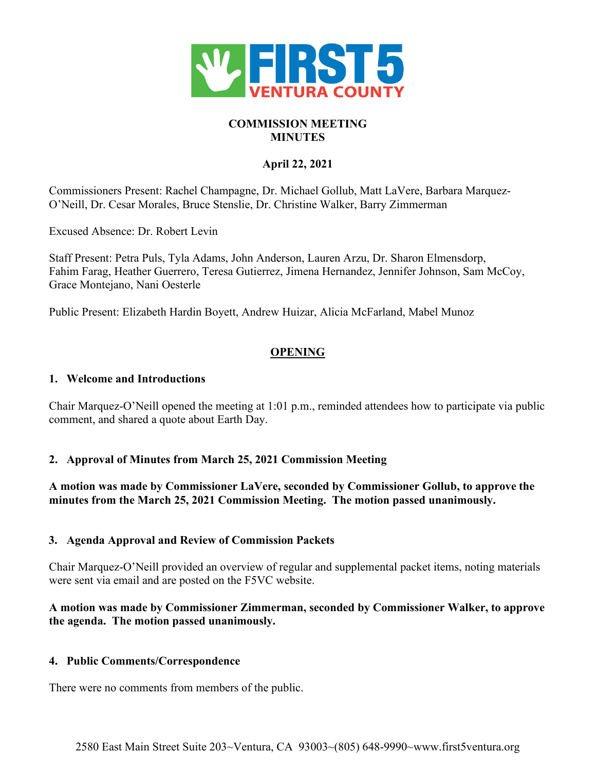

# **COMMISSION MEETING MINUTES**

# **April 22, 2021**

Commissioners Present: Rachel Champagne, Dr. Michael Gollub, Matt LaVere, Barbara Marquez-O'Neill, Dr. Cesar Morales, Bruce Stenslie, Dr. Christine Walker, Barry Zimmerman

Excused Absence: Dr. Robert Levin

Staff Present: Petra Puls, Tyla Adams, John Anderson, Lauren Arzu, Dr. Sharon Elmensdorp, Fahim Farag, Heather Guerrero, Teresa Gutierrez, Jimena Hernandez, Jennifer Johnson, Sam McCoy, Grace Montejano, Nani Oesterle

Public Present: Elizabeth Hardin Boyett, Andrew Huizar, Alicia McFarland, Mabel Munoz

# **OPENING**

## **1. Welcome and Introductions**

Chair Marquez-O'Neill opened the meeting at 1:01 p.m., reminded attendees how to participate via public comment, and shared a quote about Earth Day.

## **2. Approval of Minutes from March 25, 2021 Commission Meeting**

**A motion was made by Commissioner LaVere, seconded by Commissioner Gollub, to approve the minutes from the March 25, 2021 Commission Meeting. The motion passed unanimously.**

#### **3. Agenda Approval and Review of Commission Packets**

Chair Marquez-O'Neill provided an overview of regular and supplemental packet items, noting materials were sent via email and are posted on the F5VC website.

## **A motion was made by Commissioner Zimmerman, seconded by Commissioner Walker, to approve the agenda. The motion passed unanimously.**

## **4. Public Comments/Correspondence**

There were no comments from members of the public.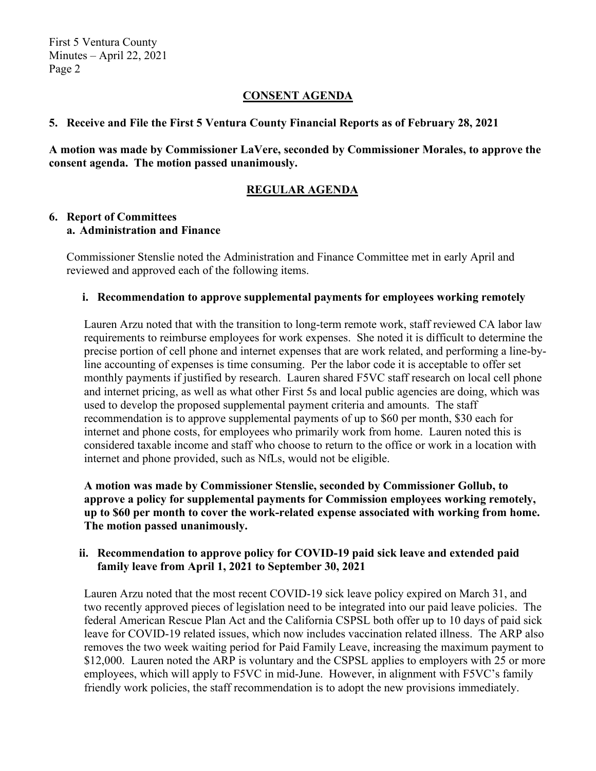## **CONSENT AGENDA**

#### **5. Receive and File the First 5 Ventura County Financial Reports as of February 28, 2021**

**A motion was made by Commissioner LaVere, seconded by Commissioner Morales, to approve the consent agenda. The motion passed unanimously.**

## **REGULAR AGENDA**

#### **6. Report of Committees a. Administration and Finance**

Commissioner Stenslie noted the Administration and Finance Committee met in early April and reviewed and approved each of the following items.

#### **i. Recommendation to approve supplemental payments for employees working remotely**

Lauren Arzu noted that with the transition to long-term remote work, staff reviewed CA labor law requirements to reimburse employees for work expenses. She noted it is difficult to determine the precise portion of cell phone and internet expenses that are work related, and performing a line-byline accounting of expenses is time consuming. Per the labor code it is acceptable to offer set monthly payments if justified by research. Lauren shared F5VC staff research on local cell phone and internet pricing, as well as what other First 5s and local public agencies are doing, which was used to develop the proposed supplemental payment criteria and amounts. The staff recommendation is to approve supplemental payments of up to \$60 per month, \$30 each for internet and phone costs, for employees who primarily work from home. Lauren noted this is considered taxable income and staff who choose to return to the office or work in a location with internet and phone provided, such as NfLs, would not be eligible.

**A motion was made by Commissioner Stenslie, seconded by Commissioner Gollub, to approve a policy for supplemental payments for Commission employees working remotely, up to \$60 per month to cover the work-related expense associated with working from home. The motion passed unanimously.**

#### **ii. Recommendation to approve policy for COVID-19 paid sick leave and extended paid family leave from April 1, 2021 to September 30, 2021**

Lauren Arzu noted that the most recent COVID-19 sick leave policy expired on March 31, and two recently approved pieces of legislation need to be integrated into our paid leave policies. The federal American Rescue Plan Act and the California CSPSL both offer up to 10 days of paid sick leave for COVID-19 related issues, which now includes vaccination related illness. The ARP also removes the two week waiting period for Paid Family Leave, increasing the maximum payment to \$12,000. Lauren noted the ARP is voluntary and the CSPSL applies to employers with 25 or more employees, which will apply to F5VC in mid-June. However, in alignment with F5VC's family friendly work policies, the staff recommendation is to adopt the new provisions immediately.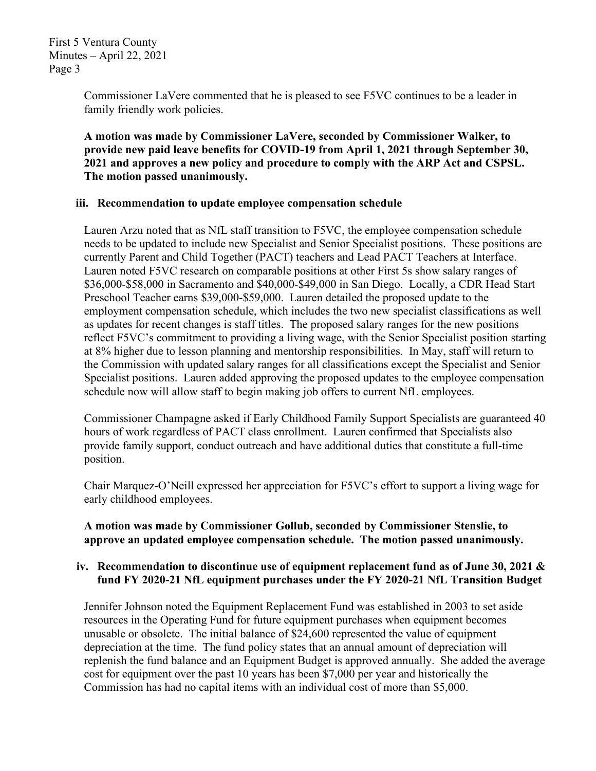Commissioner LaVere commented that he is pleased to see F5VC continues to be a leader in family friendly work policies.

**A motion was made by Commissioner LaVere, seconded by Commissioner Walker, to provide new paid leave benefits for COVID-19 from April 1, 2021 through September 30, 2021 and approves a new policy and procedure to comply with the ARP Act and CSPSL. The motion passed unanimously.**

#### **iii. Recommendation to update employee compensation schedule**

Lauren Arzu noted that as NfL staff transition to F5VC, the employee compensation schedule needs to be updated to include new Specialist and Senior Specialist positions. These positions are currently Parent and Child Together (PACT) teachers and Lead PACT Teachers at Interface. Lauren noted F5VC research on comparable positions at other First 5s show salary ranges of \$36,000-\$58,000 in Sacramento and \$40,000-\$49,000 in San Diego. Locally, a CDR Head Start Preschool Teacher earns \$39,000-\$59,000. Lauren detailed the proposed update to the employment compensation schedule, which includes the two new specialist classifications as well as updates for recent changes is staff titles. The proposed salary ranges for the new positions reflect F5VC's commitment to providing a living wage, with the Senior Specialist position starting at 8% higher due to lesson planning and mentorship responsibilities. In May, staff will return to the Commission with updated salary ranges for all classifications except the Specialist and Senior Specialist positions. Lauren added approving the proposed updates to the employee compensation schedule now will allow staff to begin making job offers to current NfL employees.

Commissioner Champagne asked if Early Childhood Family Support Specialists are guaranteed 40 hours of work regardless of PACT class enrollment. Lauren confirmed that Specialists also provide family support, conduct outreach and have additional duties that constitute a full-time position.

Chair Marquez-O'Neill expressed her appreciation for F5VC's effort to support a living wage for early childhood employees.

## **A motion was made by Commissioner Gollub, seconded by Commissioner Stenslie, to approve an updated employee compensation schedule. The motion passed unanimously.**

## **iv. Recommendation to discontinue use of equipment replacement fund as of June 30, 2021 & fund FY 2020-21 NfL equipment purchases under the FY 2020-21 NfL Transition Budget**

Jennifer Johnson noted the Equipment Replacement Fund was established in 2003 to set aside resources in the Operating Fund for future equipment purchases when equipment becomes unusable or obsolete. The initial balance of \$24,600 represented the value of equipment depreciation at the time. The fund policy states that an annual amount of depreciation will replenish the fund balance and an Equipment Budget is approved annually. She added the average cost for equipment over the past 10 years has been \$7,000 per year and historically the Commission has had no capital items with an individual cost of more than \$5,000.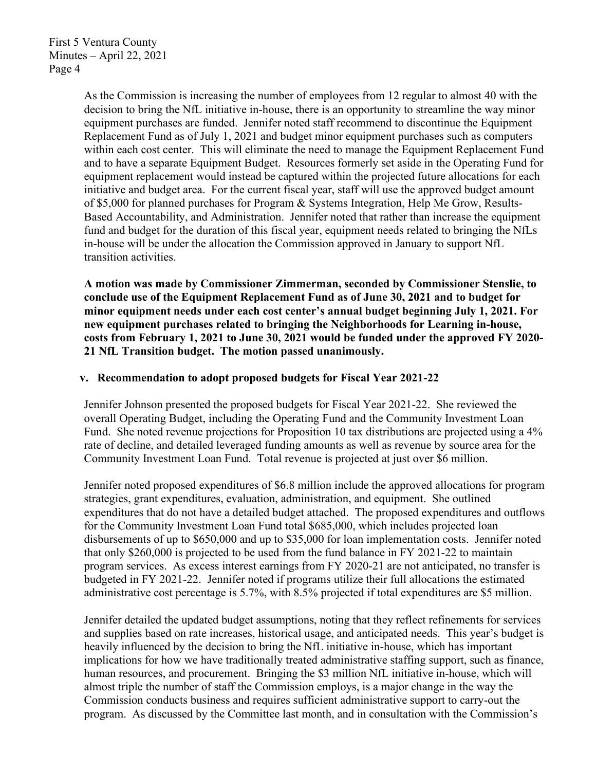As the Commission is increasing the number of employees from 12 regular to almost 40 with the decision to bring the NfL initiative in-house, there is an opportunity to streamline the way minor equipment purchases are funded. Jennifer noted staff recommend to discontinue the Equipment Replacement Fund as of July 1, 2021 and budget minor equipment purchases such as computers within each cost center. This will eliminate the need to manage the Equipment Replacement Fund and to have a separate Equipment Budget. Resources formerly set aside in the Operating Fund for equipment replacement would instead be captured within the projected future allocations for each initiative and budget area. For the current fiscal year, staff will use the approved budget amount of \$5,000 for planned purchases for Program & Systems Integration, Help Me Grow, Results-Based Accountability, and Administration. Jennifer noted that rather than increase the equipment fund and budget for the duration of this fiscal year, equipment needs related to bringing the NfLs in-house will be under the allocation the Commission approved in January to support NfL transition activities.

**A motion was made by Commissioner Zimmerman, seconded by Commissioner Stenslie, to conclude use of the Equipment Replacement Fund as of June 30, 2021 and to budget for minor equipment needs under each cost center's annual budget beginning July 1, 2021. For new equipment purchases related to bringing the Neighborhoods for Learning in-house, costs from February 1, 2021 to June 30, 2021 would be funded under the approved FY 2020- 21 NfL Transition budget. The motion passed unanimously.**

#### **v. Recommendation to adopt proposed budgets for Fiscal Year 2021-22**

Jennifer Johnson presented the proposed budgets for Fiscal Year 2021-22. She reviewed the overall Operating Budget, including the Operating Fund and the Community Investment Loan Fund. She noted revenue projections for Proposition 10 tax distributions are projected using a 4% rate of decline, and detailed leveraged funding amounts as well as revenue by source area for the Community Investment Loan Fund. Total revenue is projected at just over \$6 million.

Jennifer noted proposed expenditures of \$6.8 million include the approved allocations for program strategies, grant expenditures, evaluation, administration, and equipment. She outlined expenditures that do not have a detailed budget attached. The proposed expenditures and outflows for the Community Investment Loan Fund total \$685,000, which includes projected loan disbursements of up to \$650,000 and up to \$35,000 for loan implementation costs. Jennifer noted that only \$260,000 is projected to be used from the fund balance in FY 2021-22 to maintain program services. As excess interest earnings from FY 2020-21 are not anticipated, no transfer is budgeted in FY 2021-22. Jennifer noted if programs utilize their full allocations the estimated administrative cost percentage is 5.7%, with 8.5% projected if total expenditures are \$5 million.

Jennifer detailed the updated budget assumptions, noting that they reflect refinements for services and supplies based on rate increases, historical usage, and anticipated needs. This year's budget is heavily influenced by the decision to bring the NfL initiative in-house, which has important implications for how we have traditionally treated administrative staffing support, such as finance, human resources, and procurement. Bringing the \$3 million NfL initiative in-house, which will almost triple the number of staff the Commission employs, is a major change in the way the Commission conducts business and requires sufficient administrative support to carry-out the program. As discussed by the Committee last month, and in consultation with the Commission's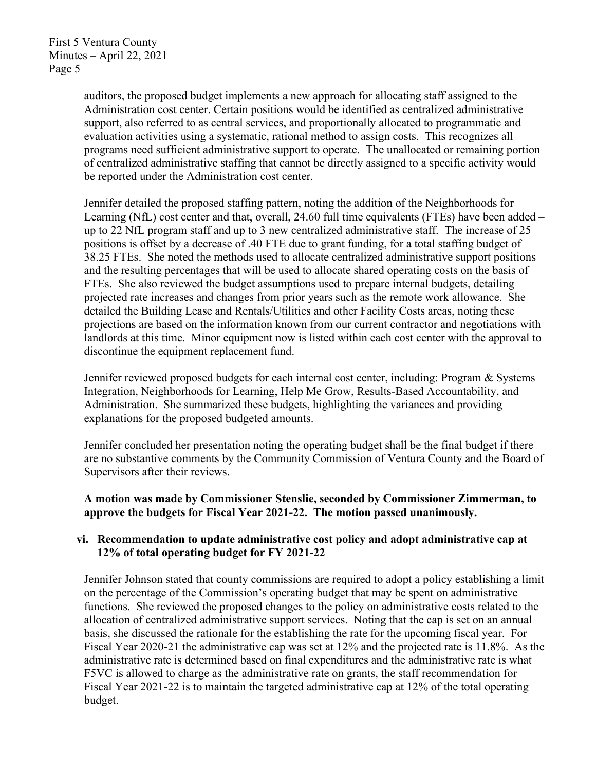> auditors, the proposed budget implements a new approach for allocating staff assigned to the Administration cost center. Certain positions would be identified as centralized administrative support, also referred to as central services, and proportionally allocated to programmatic and evaluation activities using a systematic, rational method to assign costs. This recognizes all programs need sufficient administrative support to operate. The unallocated or remaining portion of centralized administrative staffing that cannot be directly assigned to a specific activity would be reported under the Administration cost center.

> Jennifer detailed the proposed staffing pattern, noting the addition of the Neighborhoods for Learning (NfL) cost center and that, overall, 24.60 full time equivalents (FTEs) have been added – up to 22 NfL program staff and up to 3 new centralized administrative staff. The increase of 25 positions is offset by a decrease of .40 FTE due to grant funding, for a total staffing budget of 38.25 FTEs. She noted the methods used to allocate centralized administrative support positions and the resulting percentages that will be used to allocate shared operating costs on the basis of FTEs. She also reviewed the budget assumptions used to prepare internal budgets, detailing projected rate increases and changes from prior years such as the remote work allowance. She detailed the Building Lease and Rentals/Utilities and other Facility Costs areas, noting these projections are based on the information known from our current contractor and negotiations with landlords at this time. Minor equipment now is listed within each cost center with the approval to discontinue the equipment replacement fund.

Jennifer reviewed proposed budgets for each internal cost center, including: Program & Systems Integration, Neighborhoods for Learning, Help Me Grow, Results-Based Accountability, and Administration. She summarized these budgets, highlighting the variances and providing explanations for the proposed budgeted amounts.

Jennifer concluded her presentation noting the operating budget shall be the final budget if there are no substantive comments by the Community Commission of Ventura County and the Board of Supervisors after their reviews.

## **A motion was made by Commissioner Stenslie, seconded by Commissioner Zimmerman, to approve the budgets for Fiscal Year 2021-22. The motion passed unanimously.**

## **vi. Recommendation to update administrative cost policy and adopt administrative cap at 12% of total operating budget for FY 2021-22**

Jennifer Johnson stated that county commissions are required to adopt a policy establishing a limit on the percentage of the Commission's operating budget that may be spent on administrative functions. She reviewed the proposed changes to the policy on administrative costs related to the allocation of centralized administrative support services. Noting that the cap is set on an annual basis, she discussed the rationale for the establishing the rate for the upcoming fiscal year. For Fiscal Year 2020-21 the administrative cap was set at 12% and the projected rate is 11.8%. As the administrative rate is determined based on final expenditures and the administrative rate is what F5VC is allowed to charge as the administrative rate on grants, the staff recommendation for Fiscal Year 2021-22 is to maintain the targeted administrative cap at 12% of the total operating budget.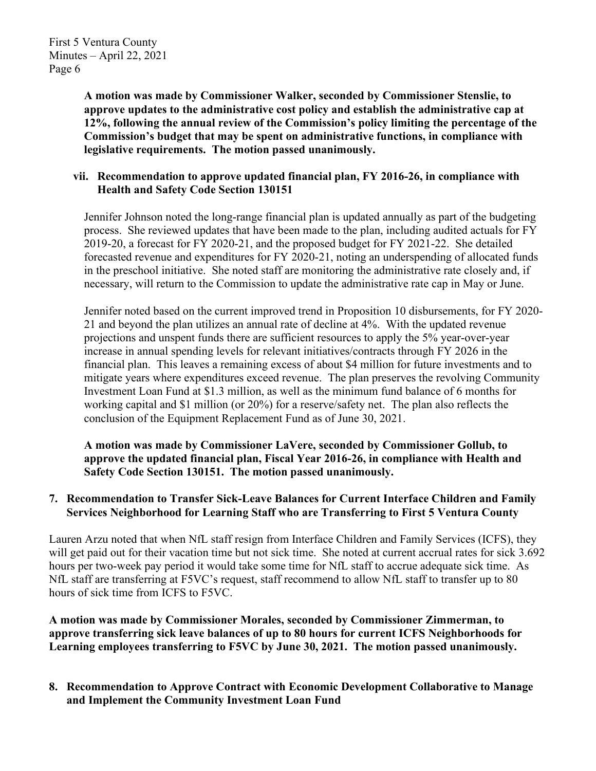**A motion was made by Commissioner Walker, seconded by Commissioner Stenslie, to approve updates to the administrative cost policy and establish the administrative cap at 12%, following the annual review of the Commission's policy limiting the percentage of the Commission's budget that may be spent on administrative functions, in compliance with legislative requirements. The motion passed unanimously.**

## **vii. Recommendation to approve updated financial plan, FY 2016-26, in compliance with Health and Safety Code Section 130151**

Jennifer Johnson noted the long-range financial plan is updated annually as part of the budgeting process. She reviewed updates that have been made to the plan, including audited actuals for FY 2019-20, a forecast for FY 2020-21, and the proposed budget for FY 2021-22. She detailed forecasted revenue and expenditures for FY 2020-21, noting an underspending of allocated funds in the preschool initiative. She noted staff are monitoring the administrative rate closely and, if necessary, will return to the Commission to update the administrative rate cap in May or June.

Jennifer noted based on the current improved trend in Proposition 10 disbursements, for FY 2020- 21 and beyond the plan utilizes an annual rate of decline at 4%. With the updated revenue projections and unspent funds there are sufficient resources to apply the 5% year-over-year increase in annual spending levels for relevant initiatives/contracts through FY 2026 in the financial plan. This leaves a remaining excess of about \$4 million for future investments and to mitigate years where expenditures exceed revenue. The plan preserves the revolving Community Investment Loan Fund at \$1.3 million, as well as the minimum fund balance of 6 months for working capital and \$1 million (or 20%) for a reserve/safety net. The plan also reflects the conclusion of the Equipment Replacement Fund as of June 30, 2021.

**A motion was made by Commissioner LaVere, seconded by Commissioner Gollub, to approve the updated financial plan, Fiscal Year 2016-26, in compliance with Health and Safety Code Section 130151. The motion passed unanimously.**

## **7. Recommendation to Transfer Sick-Leave Balances for Current Interface Children and Family Services Neighborhood for Learning Staff who are Transferring to First 5 Ventura County**

Lauren Arzu noted that when NfL staff resign from Interface Children and Family Services (ICFS), they will get paid out for their vacation time but not sick time. She noted at current accrual rates for sick 3.692 hours per two-week pay period it would take some time for NfL staff to accrue adequate sick time. As NfL staff are transferring at F5VC's request, staff recommend to allow NfL staff to transfer up to 80 hours of sick time from ICFS to F5VC.

**A motion was made by Commissioner Morales, seconded by Commissioner Zimmerman, to approve transferring sick leave balances of up to 80 hours for current ICFS Neighborhoods for Learning employees transferring to F5VC by June 30, 2021. The motion passed unanimously.**

**8. Recommendation to Approve Contract with Economic Development Collaborative to Manage and Implement the Community Investment Loan Fund**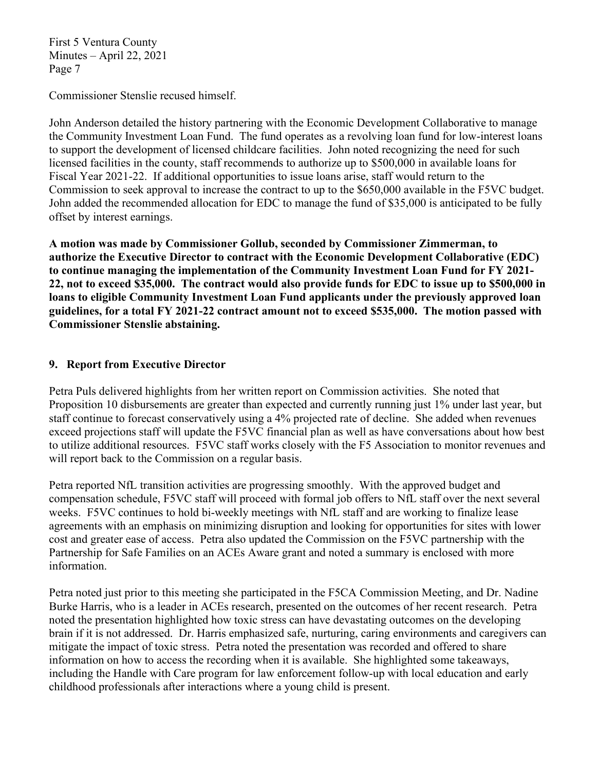Commissioner Stenslie recused himself.

John Anderson detailed the history partnering with the Economic Development Collaborative to manage the Community Investment Loan Fund. The fund operates as a revolving loan fund for low-interest loans to support the development of licensed childcare facilities. John noted recognizing the need for such licensed facilities in the county, staff recommends to authorize up to \$500,000 in available loans for Fiscal Year 2021-22. If additional opportunities to issue loans arise, staff would return to the Commission to seek approval to increase the contract to up to the \$650,000 available in the F5VC budget. John added the recommended allocation for EDC to manage the fund of \$35,000 is anticipated to be fully offset by interest earnings.

**A motion was made by Commissioner Gollub, seconded by Commissioner Zimmerman, to authorize the Executive Director to contract with the Economic Development Collaborative (EDC) to continue managing the implementation of the Community Investment Loan Fund for FY 2021- 22, not to exceed \$35,000. The contract would also provide funds for EDC to issue up to \$500,000 in loans to eligible Community Investment Loan Fund applicants under the previously approved loan guidelines, for a total FY 2021-22 contract amount not to exceed \$535,000. The motion passed with Commissioner Stenslie abstaining.**

# **9. Report from Executive Director**

Petra Puls delivered highlights from her written report on Commission activities. She noted that Proposition 10 disbursements are greater than expected and currently running just 1% under last year, but staff continue to forecast conservatively using a 4% projected rate of decline. She added when revenues exceed projections staff will update the F5VC financial plan as well as have conversations about how best to utilize additional resources. F5VC staff works closely with the F5 Association to monitor revenues and will report back to the Commission on a regular basis.

Petra reported NfL transition activities are progressing smoothly. With the approved budget and compensation schedule, F5VC staff will proceed with formal job offers to NfL staff over the next several weeks. F5VC continues to hold bi-weekly meetings with NfL staff and are working to finalize lease agreements with an emphasis on minimizing disruption and looking for opportunities for sites with lower cost and greater ease of access. Petra also updated the Commission on the F5VC partnership with the Partnership for Safe Families on an ACEs Aware grant and noted a summary is enclosed with more information.

Petra noted just prior to this meeting she participated in the F5CA Commission Meeting, and Dr. Nadine Burke Harris, who is a leader in ACEs research, presented on the outcomes of her recent research. Petra noted the presentation highlighted how toxic stress can have devastating outcomes on the developing brain if it is not addressed. Dr. Harris emphasized safe, nurturing, caring environments and caregivers can mitigate the impact of toxic stress. Petra noted the presentation was recorded and offered to share information on how to access the recording when it is available. She highlighted some takeaways, including the Handle with Care program for law enforcement follow-up with local education and early childhood professionals after interactions where a young child is present.